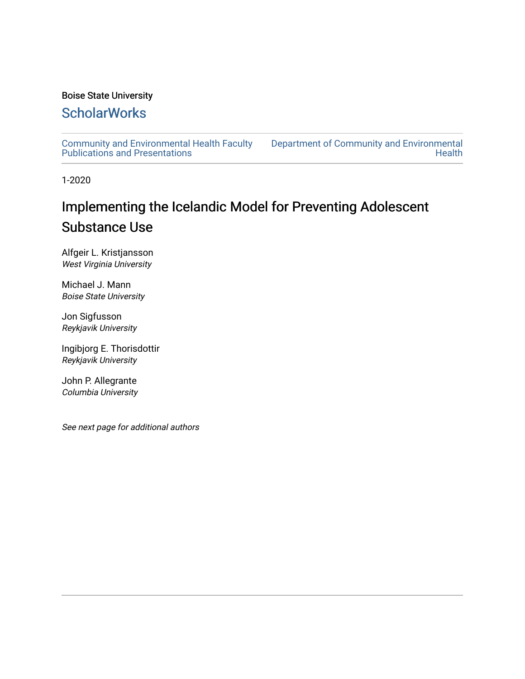# Boise State University

# **ScholarWorks**

[Community and Environmental Health Faculty](https://scholarworks.boisestate.edu/commhealth_facpubs)  [Publications and Presentations](https://scholarworks.boisestate.edu/commhealth_facpubs) 

[Department of Community and Environmental](https://scholarworks.boisestate.edu/commhealth)  **Health** 

1-2020

# Implementing the Icelandic Model for Preventing Adolescent Substance Use

Alfgeir L. Kristjansson West Virginia University

Michael J. Mann Boise State University

Jon Sigfusson Reykjavik University

Ingibjorg E. Thorisdottir Reykjavik University

John P. Allegrante Columbia University

See next page for additional authors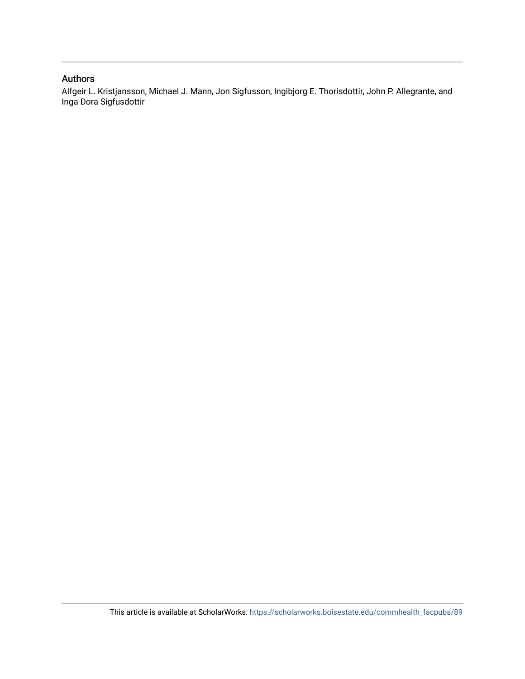# Authors

Alfgeir L. Kristjansson, Michael J. Mann, Jon Sigfusson, Ingibjorg E. Thorisdottir, John P. Allegrante, and Inga Dora Sigfusdottir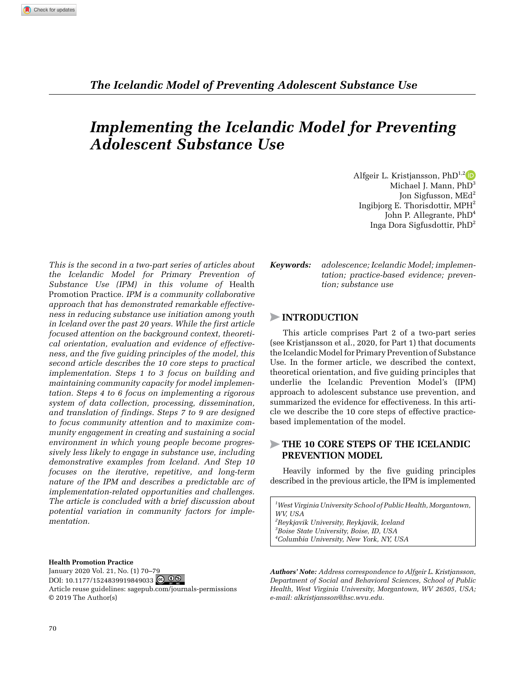# *Implementing the Icelandic Model for Preventing Adolescent Substance Use*

Alfgeir L. Kristjansson, PhD<sup>1,2</sup><sup>D</sup> Michael J. Mann, PhD<sup>3</sup> Jon Sigfusson,  $MEd<sup>2</sup>$ Ingibjorg E. Thorisdottir,  $MPH<sup>2</sup>$ John P. Allegrante, PhD4 Inga Dora Sigfusdottir, PhD2

*This is the second in a two-part series of articles about the Icelandic Model for Primary Prevention of Substance Use (IPM) in this volume of* Health Promotion Practice*. IPM is a community collaborative approach that has demonstrated remarkable effectiveness in reducing substance use initiation among youth in Iceland over the past 20 years. While the first article focused attention on the background context, theoretical orientation, evaluation and evidence of effectiveness, and the five guiding principles of the model, this second article describes the 10 core steps to practical implementation. Steps 1 to 3 focus on building and maintaining community capacity for model implementation. Steps 4 to 6 focus on implementing a rigorous system of data collection, processing, dissemination, and translation of findings. Steps 7 to 9 are designed to focus community attention and to maximize community engagement in creating and sustaining a social environment in which young people become progressively less likely to engage in substance use, including demonstrative examples from Iceland. And Step 10 focuses on the iterative, repetitive, and long-term nature of the IPM and describes a predictable arc of implementation-related opportunities and challenges. The article is concluded with a brief discussion about potential variation in community factors for implementation.*

**Health Promotion Practice** January 2020 Vol. 21, No. (1) 70–79 DOI: [10.1177/1524839919849033](https://doi.org/10.1177/1524839919849033) © 09 [Article reuse guidelines: sagepub.com/journals-permissions](https://us.sagepub.com/en-us/journals-permissions) © 2019 The Author(s)

*Keywords: adolescence; Icelandic Model; implementation; practice-based evidence; prevention; substance use*

# >**Introduction**

This article comprises Part 2 of a two-part series (see Kristjansson et al., 2020, for Part 1) that documents the Icelandic Model for Primary Prevention of Substance Use. In the former article, we described the context, theoretical orientation, and five guiding principles that underlie the Icelandic Prevention Model's (IPM) approach to adolescent substance use prevention, and summarized the evidence for effectiveness. In this article we describe the 10 core steps of effective practicebased implementation of the model.

# >**The 10 Core Steps Of The Icelandic Prevention Model**

Heavily informed by the five guiding principles described in the previous article, the IPM is implemented

 *West Virginia University School of Public Health, Morgantown, WV, USA Reykjavik University, Reykjavik, Iceland Boise State University, Boise, ID, USA Columbia University, New York, NY, USA*

*Authors' Note: Address correspondence to Alfgeir L. Kristjansson, Department of Social and Behavioral Sciences, School of Public Health, West Virginia University, Morgantown, WV 26505, USA; e-mail: [alkristjansson@hsc.wvu.edu.](mailto:alkristjansson@hsc.wvu.edu)*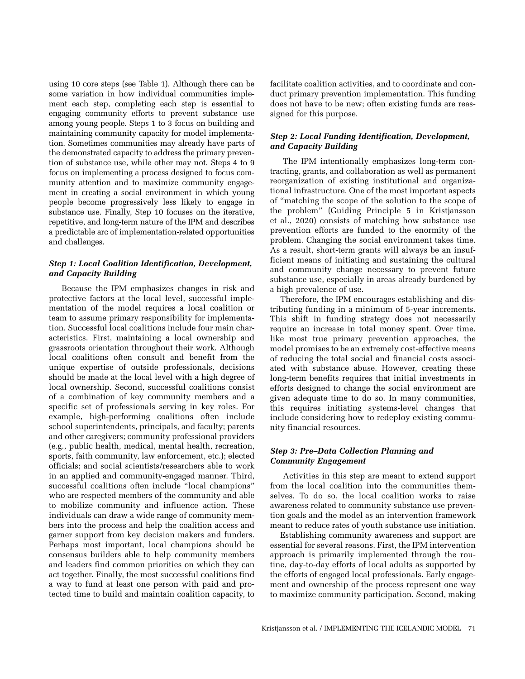using 10 core steps (see Table 1). Although there can be some variation in how individual communities implement each step, completing each step is essential to engaging community efforts to prevent substance use among young people. Steps 1 to 3 focus on building and maintaining community capacity for model implementation. Sometimes communities may already have parts of the demonstrated capacity to address the primary prevention of substance use, while other may not. Steps 4 to 9 focus on implementing a process designed to focus community attention and to maximize community engagement in creating a social environment in which young people become progressively less likely to engage in substance use. Finally, Step 10 focuses on the iterative, repetitive, and long-term nature of the IPM and describes a predictable arc of implementation-related opportunities and challenges.

# *Step 1: Local Coalition Identification, Development, and Capacity Building*

Because the IPM emphasizes changes in risk and protective factors at the local level, successful implementation of the model requires a local coalition or team to assume primary responsibility for implementation. Successful local coalitions include four main characteristics. First, maintaining a local ownership and grassroots orientation throughout their work. Although local coalitions often consult and benefit from the unique expertise of outside professionals, decisions should be made at the local level with a high degree of local ownership. Second, successful coalitions consist of a combination of key community members and a specific set of professionals serving in key roles. For example, high-performing coalitions often include school superintendents, principals, and faculty; parents and other caregivers; community professional providers (e.g., public health, medical, mental health, recreation, sports, faith community, law enforcement, etc.); elected officials; and social scientists/researchers able to work in an applied and community-engaged manner. Third, successful coalitions often include "local champions" who are respected members of the community and able to mobilize community and influence action. These individuals can draw a wide range of community members into the process and help the coalition access and garner support from key decision makers and funders. Perhaps most important, local champions should be consensus builders able to help community members and leaders find common priorities on which they can act together. Finally, the most successful coalitions find a way to fund at least one person with paid and protected time to build and maintain coalition capacity, to

facilitate coalition activities, and to coordinate and conduct primary prevention implementation. This funding does not have to be new; often existing funds are reassigned for this purpose.

# *Step 2: Local Funding Identification, Development, and Capacity Building*

The IPM intentionally emphasizes long-term contracting, grants, and collaboration as well as permanent reorganization of existing institutional and organizational infrastructure. One of the most important aspects of "matching the scope of the solution to the scope of the problem" (Guiding Principle 5 in Kristjansson et al., 2020) consists of matching how substance use prevention efforts are funded to the enormity of the problem. Changing the social environment takes time. As a result, short-term grants will always be an insufficient means of initiating and sustaining the cultural and community change necessary to prevent future substance use, especially in areas already burdened by a high prevalence of use.

Therefore, the IPM encourages establishing and distributing funding in a minimum of 5-year increments. This shift in funding strategy does not necessarily require an increase in total money spent. Over time, like most true primary prevention approaches, the model promises to be an extremely cost-effective means of reducing the total social and financial costs associated with substance abuse. However, creating these long-term benefits requires that initial investments in efforts designed to change the social environment are given adequate time to do so. In many communities, this requires initiating systems-level changes that include considering how to redeploy existing community financial resources.

# *Step 3: Pre–Data Collection Planning and Community Engagement*

Activities in this step are meant to extend support from the local coalition into the communities themselves. To do so, the local coalition works to raise awareness related to community substance use prevention goals and the model as an intervention framework meant to reduce rates of youth substance use initiation.

Establishing community awareness and support are essential for several reasons. First, the IPM intervention approach is primarily implemented through the routine, day-to-day efforts of local adults as supported by the efforts of engaged local professionals. Early engagement and ownership of the process represent one way to maximize community participation. Second, making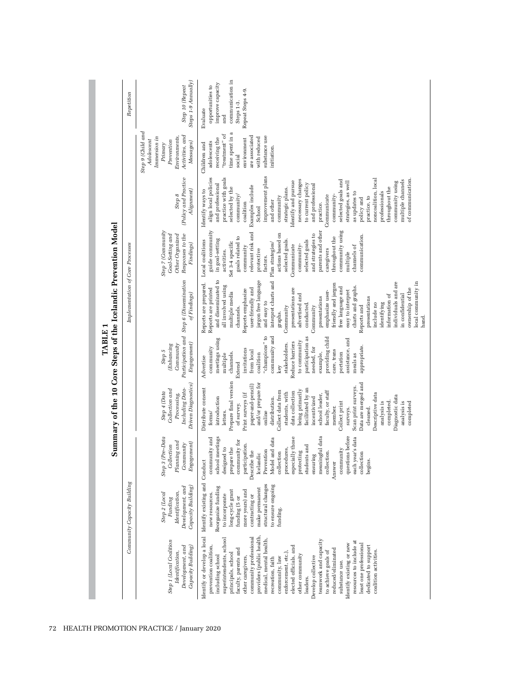|                                                                                                                                                                                                                                                                                                                                                                                                                                                                                                                                                                                                                    |                                                                                                                                                                                                                                    |                                                                                                                                                                                                                                                                                                                                                                                                |                                                                                                                                                                                                                                                                                                                                                                                                                                                                                                                                                       | TABLE 1                                                                                                                                                                                                                                                                                                                                                                                                                                                                                      | Summary of the 10 Core Steps of the Icelandic Prevention Model                                                                                                                                                                                                                                                                                                                                                                                                                                                                                                                                                                     |                                                                                                                                                                                                                                                                                                                                                                                                                               |                                                                                                                                                                                                                                                                                                                                                                                                                                                                                                                                                                                     |                                                                                                                                                                              |                                                                                                                |
|--------------------------------------------------------------------------------------------------------------------------------------------------------------------------------------------------------------------------------------------------------------------------------------------------------------------------------------------------------------------------------------------------------------------------------------------------------------------------------------------------------------------------------------------------------------------------------------------------------------------|------------------------------------------------------------------------------------------------------------------------------------------------------------------------------------------------------------------------------------|------------------------------------------------------------------------------------------------------------------------------------------------------------------------------------------------------------------------------------------------------------------------------------------------------------------------------------------------------------------------------------------------|-------------------------------------------------------------------------------------------------------------------------------------------------------------------------------------------------------------------------------------------------------------------------------------------------------------------------------------------------------------------------------------------------------------------------------------------------------------------------------------------------------------------------------------------------------|----------------------------------------------------------------------------------------------------------------------------------------------------------------------------------------------------------------------------------------------------------------------------------------------------------------------------------------------------------------------------------------------------------------------------------------------------------------------------------------------|------------------------------------------------------------------------------------------------------------------------------------------------------------------------------------------------------------------------------------------------------------------------------------------------------------------------------------------------------------------------------------------------------------------------------------------------------------------------------------------------------------------------------------------------------------------------------------------------------------------------------------|-------------------------------------------------------------------------------------------------------------------------------------------------------------------------------------------------------------------------------------------------------------------------------------------------------------------------------------------------------------------------------------------------------------------------------|-------------------------------------------------------------------------------------------------------------------------------------------------------------------------------------------------------------------------------------------------------------------------------------------------------------------------------------------------------------------------------------------------------------------------------------------------------------------------------------------------------------------------------------------------------------------------------------|------------------------------------------------------------------------------------------------------------------------------------------------------------------------------|----------------------------------------------------------------------------------------------------------------|
|                                                                                                                                                                                                                                                                                                                                                                                                                                                                                                                                                                                                                    | Community Capacity Building                                                                                                                                                                                                        |                                                                                                                                                                                                                                                                                                                                                                                                |                                                                                                                                                                                                                                                                                                                                                                                                                                                                                                                                                       |                                                                                                                                                                                                                                                                                                                                                                                                                                                                                              | Implementation of Core Processes                                                                                                                                                                                                                                                                                                                                                                                                                                                                                                                                                                                                   |                                                                                                                                                                                                                                                                                                                                                                                                                               |                                                                                                                                                                                                                                                                                                                                                                                                                                                                                                                                                                                     |                                                                                                                                                                              | Repetition                                                                                                     |
| Step 1 (Local Coalition<br>Capacity Building)<br>Development, and<br>Identification,                                                                                                                                                                                                                                                                                                                                                                                                                                                                                                                               | Development, and<br>Capacity Building)<br>Identification,<br>Step 2 (Local<br>Funding                                                                                                                                              | Step 3 (Pre-Data<br>Planning and<br>Engagement)<br>Community<br>Collection                                                                                                                                                                                                                                                                                                                     | Driven Diagnostics)<br>Including Data-<br>Collection and<br>Step 4 (Data<br>Processing,                                                                                                                                                                                                                                                                                                                                                                                                                                                               | $Eng segment) % \begin{minipage}[c]{0.7\linewidth} \includegraphics[width=\textwidth]{figures/h1.pdf} % \end{minipage} % \caption{The \textit{H1}~\textit{in} \textit{H2}~\textit{in} \textit{H3}~\textit{in} \textit{H4}~\textit{in} \textit{H5}~\textit{in} \textit{H6}~\textit{in} \textit{H6}~\textit{in} \textit{H7}~\textit{in} \textit{H7}~\textit{in} \textit{H8}~\textit{in} \textit{H8}~\textit{in} \textit{H8}~\textit{in} \textit{H8$<br>Community<br><b>Enhancing</b><br>Step 5 | Participation and Step 6 (Dissemination<br>of Findings)                                                                                                                                                                                                                                                                                                                                                                                                                                                                                                                                                                            | Step 7 (Community<br>Responses to the<br>Goal-Setting and<br>Other Organized<br>Findings)                                                                                                                                                                                                                                                                                                                                     | (Policy and Practice<br>Alignment)<br>Step 8                                                                                                                                                                                                                                                                                                                                                                                                                                                                                                                                        | Step 9 (Child and<br>Activities, and<br>Environments,<br>Immersion in<br>Adolescent<br>Prevention<br>Messages)<br>Primary                                                    | Steps 1-9 Annually)<br>Step 10 (Repeat                                                                         |
| Identify or develop a local<br>providers (public health,<br>community professional<br>superintendents, school<br>medical, mental health,<br>teamwork and capacity<br>resources to include at<br>least one professional<br>Identify existing or new<br>elected officials, and<br>dedicated to support<br>prevention coalition<br>faculty, parents and<br>reduced/eliminated<br>coalition activities.<br>to achieve goals of<br>enforcement, etc.),<br>principals, school<br>other community<br>including school<br>Develop collective<br>other caregivers,<br>community, law<br>recreation, faith<br>substance use. | Identify existing and<br>structural changes<br>to ensure ongoing<br>Reorganize funding<br>make permanent<br>more years) and<br>long-cycle grant<br>new resources.<br>to incorporate<br>contracting or<br>funding (5 or<br>funding. | questions before<br>meaningful data<br>each year's data<br>school meetings<br>especially those<br>Model and data<br>community and<br>community for<br>participation.<br>students and<br>designed to<br>prepare the<br>procedures,<br>community<br>Prevention<br>Describe the<br>collection.<br>protecting<br>collection<br>collection<br>Icelandic<br>ensuring<br>begins.<br>Conduct<br>Answer | Prepare final version<br>Data are merged and<br>and/or prepare for<br>paper-and-pencil)<br>Scan print surveys.<br>Distribute consent<br>facilitated by an<br>being primarily<br>faculty, or staff<br>Collect data from<br>data collection<br>students, with<br>Print surveys (if<br>Descriptive data<br>school leader,<br>Diagnostic data<br>incentivized<br>introduction<br>distribution.<br>analysis is<br>completed.<br>Collect print<br>analysis is<br>completed<br>of survey.<br>member.<br>surveys.<br>cleaned.<br>letters.<br>online<br>forms/ | "champions" to<br>community and<br>participation as<br>providing child<br>meetings using<br>assistance, and<br>to community<br>Reduce barriers<br>stakeholders.<br>appropriate.<br>needed, for<br>community<br>invitations<br>care, trans<br>from local<br>example,<br>channels.<br>coalition<br>portation<br>multiple<br>meals as<br>Advertise<br>Extend<br>key                                                                                                                             | interpret charts and<br>and disseminated to<br>jargon free language<br>individuals and are<br>local community in<br>Reports are prepared.<br>friendly and jargon<br>all involved using<br>charts and graphs.<br>free language and<br>Reports are printed<br>user-friendly and<br>presentations are<br>ownership of the<br>Reports emphasize<br>emphasize user-<br>easy to interpret<br>multiple media<br>in confidential<br>advertised and<br>information of<br>presentations<br>presentations<br>and easy to<br>identifying<br>conducted.<br>include no<br>channels.<br>Reports and<br>Community<br>Community<br>graphs.<br>hand. | guide community<br>parents and other<br>community using<br>relevant risk and<br>actions based on<br>and strategies to<br>communication.<br>goals related to<br>throughout the<br>in goal-setting<br>selected goals.<br>Local coalitions<br>selected goals<br>Set 3-4 specific<br>Plan strategies/<br>community-<br>Communicate<br>channels of<br>community<br>caregivers<br>protective<br>activities.<br>multiple<br>factors. | improvement plans<br>practice with goals<br>align local policies<br>noncoalition, local<br>of communication.<br>multiple channels<br>necessary changes<br>selected goals and<br>Identify and pursue<br>community using<br>strategies, as well<br>to current policy<br>and professional<br>and professional<br>Examples include<br>selected by the<br>throughout the<br>strategic plans.<br>Identify ways to<br>professionals<br>as updates to<br>commuity/<br>community-<br>Communicate<br>community<br>practice, to<br>policy and<br>and other<br>coalition<br>practice.<br>School | time spent in a<br>"treatment" of<br>substance use<br>are associated<br>receiving the<br>with reduced<br>environment<br>adolescents<br>Children and<br>initiation.<br>social | communication in<br>improve capacity<br>opportunities to<br>Repeat Steps 4-9.<br>Steps 1-3.<br>Evaluate<br>and |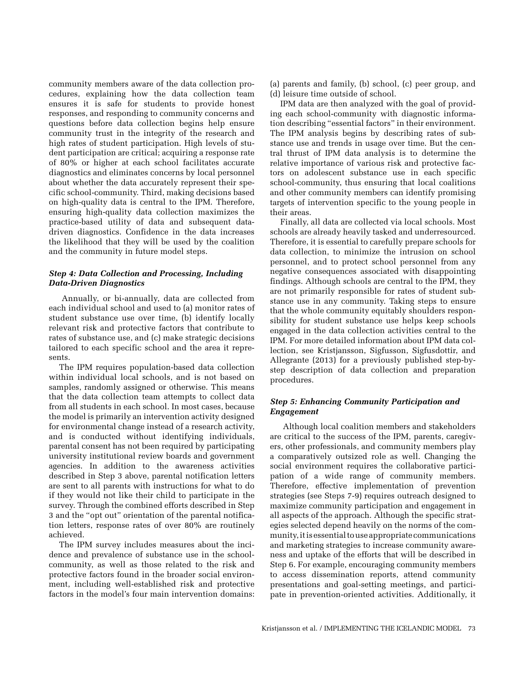community members aware of the data collection procedures, explaining how the data collection team ensures it is safe for students to provide honest responses, and responding to community concerns and questions before data collection begins help ensure community trust in the integrity of the research and high rates of student participation. High levels of student participation are critical; acquiring a response rate of 80% or higher at each school facilitates accurate diagnostics and eliminates concerns by local personnel about whether the data accurately represent their specific school-community. Third, making decisions based on high-quality data is central to the IPM. Therefore, ensuring high-quality data collection maximizes the practice-based utility of data and subsequent datadriven diagnostics. Confidence in the data increases the likelihood that they will be used by the coalition and the community in future model steps.

# *Step 4: Data Collection and Processing, Including Data-Driven Diagnostics*

Annually, or bi-annually, data are collected from each individual school and used to (a) monitor rates of student substance use over time, (b) identify locally relevant risk and protective factors that contribute to rates of substance use, and (c) make strategic decisions tailored to each specific school and the area it represents.

The IPM requires population-based data collection within individual local schools, and is not based on samples, randomly assigned or otherwise. This means that the data collection team attempts to collect data from all students in each school. In most cases, because the model is primarily an intervention activity designed for environmental change instead of a research activity, and is conducted without identifying individuals, parental consent has not been required by participating university institutional review boards and government agencies. In addition to the awareness activities described in Step 3 above, parental notification letters are sent to all parents with instructions for what to do if they would not like their child to participate in the survey. Through the combined efforts described in Step 3 and the "opt out" orientation of the parental notification letters, response rates of over 80% are routinely achieved.

The IPM survey includes measures about the incidence and prevalence of substance use in the schoolcommunity, as well as those related to the risk and protective factors found in the broader social environment, including well-established risk and protective factors in the model's four main intervention domains: (a) parents and family, (b) school, (c) peer group, and (d) leisure time outside of school.

IPM data are then analyzed with the goal of providing each school-community with diagnostic information describing "essential factors" in their environment. The IPM analysis begins by describing rates of substance use and trends in usage over time. But the central thrust of IPM data analysis is to determine the relative importance of various risk and protective factors on adolescent substance use in each specific school-community, thus ensuring that local coalitions and other community members can identify promising targets of intervention specific to the young people in their areas.

Finally, all data are collected via local schools. Most schools are already heavily tasked and underresourced. Therefore, it is essential to carefully prepare schools for data collection, to minimize the intrusion on school personnel, and to protect school personnel from any negative consequences associated with disappointing findings. Although schools are central to the IPM, they are not primarily responsible for rates of student substance use in any community. Taking steps to ensure that the whole community equitably shoulders responsibility for student substance use helps keep schools engaged in the data collection activities central to the IPM. For more detailed information about IPM data collection, see Kristjansson, Sigfusson, Sigfusdottir, and Allegrante (2013) for a previously published step-bystep description of data collection and preparation procedures.

# *Step 5: Enhancing Community Participation and Engagement*

Although local coalition members and stakeholders are critical to the success of the IPM, parents, caregivers, other professionals, and community members play a comparatively outsized role as well. Changing the social environment requires the collaborative participation of a wide range of community members. Therefore, effective implementation of prevention strategies (see Steps 7-9) requires outreach designed to maximize community participation and engagement in all aspects of the approach. Although the specific strategies selected depend heavily on the norms of the community, it is essential to use appropriate communications and marketing strategies to increase community awareness and uptake of the efforts that will be described in Step 6. For example, encouraging community members to access dissemination reports, attend community presentations and goal-setting meetings, and participate in prevention-oriented activities. Additionally, it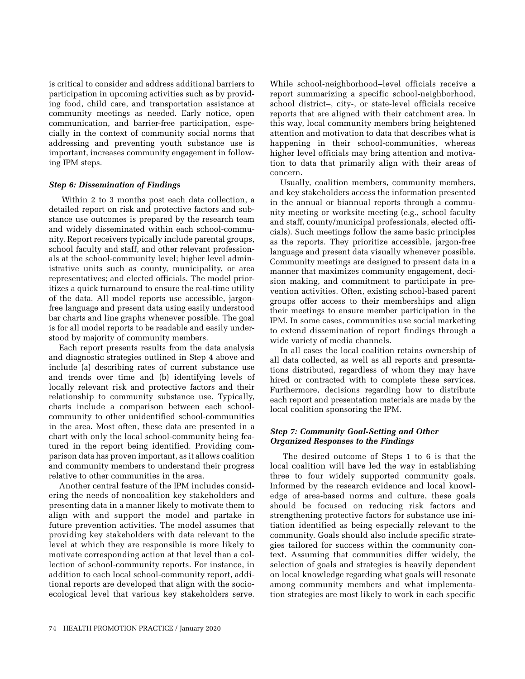is critical to consider and address additional barriers to participation in upcoming activities such as by providing food, child care, and transportation assistance at community meetings as needed. Early notice, open communication, and barrier-free participation, especially in the context of community social norms that addressing and preventing youth substance use is important, increases community engagement in following IPM steps.

#### *Step 6: Dissemination of Findings*

Within 2 to 3 months post each data collection, a detailed report on risk and protective factors and substance use outcomes is prepared by the research team and widely disseminated within each school-community. Report receivers typically include parental groups, school faculty and staff, and other relevant professionals at the school-community level; higher level administrative units such as county, municipality, or area representatives; and elected officials. The model prioritizes a quick turnaround to ensure the real-time utility of the data. All model reports use accessible, jargonfree language and present data using easily understood bar charts and line graphs whenever possible. The goal is for all model reports to be readable and easily understood by majority of community members.

Each report presents results from the data analysis and diagnostic strategies outlined in Step 4 above and include (a) describing rates of current substance use and trends over time and (b) identifying levels of locally relevant risk and protective factors and their relationship to community substance use. Typically, charts include a comparison between each schoolcommunity to other unidentified school-communities in the area. Most often, these data are presented in a chart with only the local school-community being featured in the report being identified. Providing comparison data has proven important, as it allows coalition and community members to understand their progress relative to other communities in the area.

Another central feature of the IPM includes considering the needs of noncoalition key stakeholders and presenting data in a manner likely to motivate them to align with and support the model and partake in future prevention activities. The model assumes that providing key stakeholders with data relevant to the level at which they are responsible is more likely to motivate corresponding action at that level than a collection of school-community reports. For instance, in addition to each local school-community report, additional reports are developed that align with the socioecological level that various key stakeholders serve.

While school-neighborhood–level officials receive a report summarizing a specific school-neighborhood, school district–, city-, or state-level officials receive reports that are aligned with their catchment area. In this way, local community members bring heightened attention and motivation to data that describes what is happening in their school-communities, whereas higher level officials may bring attention and motivation to data that primarily align with their areas of concern.

Usually, coalition members, community members, and key stakeholders access the information presented in the annual or biannual reports through a community meeting or worksite meeting (e.g., school faculty and staff, county/municipal professionals, elected officials). Such meetings follow the same basic principles as the reports. They prioritize accessible, jargon-free language and present data visually whenever possible. Community meetings are designed to present data in a manner that maximizes community engagement, decision making, and commitment to participate in prevention activities. Often, existing school-based parent groups offer access to their memberships and align their meetings to ensure member participation in the IPM. In some cases, communities use social marketing to extend dissemination of report findings through a wide variety of media channels.

In all cases the local coalition retains ownership of all data collected, as well as all reports and presentations distributed, regardless of whom they may have hired or contracted with to complete these services. Furthermore, decisions regarding how to distribute each report and presentation materials are made by the local coalition sponsoring the IPM.

# *Step 7: Community Goal-Setting and Other Organized Responses to the Findings*

The desired outcome of Steps 1 to 6 is that the local coalition will have led the way in establishing three to four widely supported community goals. Informed by the research evidence and local knowledge of area-based norms and culture, these goals should be focused on reducing risk factors and strengthening protective factors for substance use initiation identified as being especially relevant to the community. Goals should also include specific strategies tailored for success within the community context. Assuming that communities differ widely, the selection of goals and strategies is heavily dependent on local knowledge regarding what goals will resonate among community members and what implementation strategies are most likely to work in each specific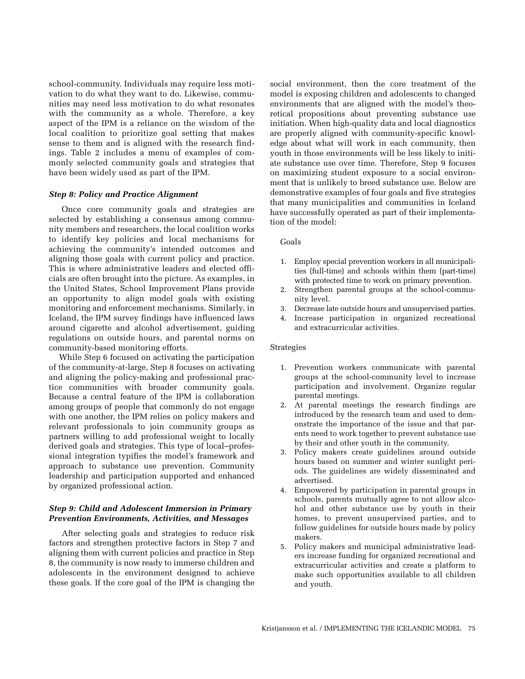school-community. Individuals may require less motivation to do what they want to do. Likewise, communities may need less motivation to do what resonates with the community as a whole. Therefore, a key aspect of the IPM is a reliance on the wisdom of the local coalition to prioritize goal setting that makes sense to them and is aligned with the research findings. Table 2 includes a menu of examples of commonly selected community goals and strategies that have been widely used as part of the IPM.

#### *Step 8: Policy and Practice Alignment*

Once core community goals and strategies are selected by establishing a consensus among community members and researchers, the local coalition works to identify key policies and local mechanisms for achieving the community's intended outcomes and aligning those goals with current policy and practice. This is where administrative leaders and elected officials are often brought into the picture. As examples, in the United States, School Improvement Plans provide an opportunity to align model goals with existing monitoring and enforcement mechanisms. Similarly, in Iceland, the IPM survey findings have influenced laws around cigarette and alcohol advertisement, guiding regulations on outside hours, and parental norms on community-based monitoring efforts.

While Step 6 focused on activating the participation of the community-at-large, Step 8 focuses on activating and aligning the policy-making and professional practice communities with broader community goals. Because a central feature of the IPM is collaboration among groups of people that commonly do not engage with one another, the IPM relies on policy makers and relevant professionals to join community groups as partners willing to add professional weight to locally derived goals and strategies. This type of local–professional integration typifies the model's framework and approach to substance use prevention. Community leadership and participation supported and enhanced by organized professional action.

# *Step 9: Child and Adolescent Immersion in Primary Prevention Environments, Activities, and Messages*

After selecting goals and strategies to reduce risk factors and strengthen protective factors in Step 7 and aligning them with current policies and practice in Step 8, the community is now ready to immerse children and adolescents in the environment designed to achieve these goals. If the core goal of the IPM is changing the

social environment, then the core treatment of the model is exposing children and adolescents to changed environments that are aligned with the model's theoretical propositions about preventing substance use initiation. When high-quality data and local diagnostics are properly aligned with community-specific knowledge about what will work in each community, then youth in those environments will be less likely to initiate substance use over time. Therefore, Step 9 focuses on maximizing student exposure to a social environment that is unlikely to breed substance use. Below are demonstrative examples of four goals and five strategies that many municipalities and communities in Iceland have successfully operated as part of their implementation of the model:

#### Goals

- 1. Employ special prevention workers in all municipalities (full-time) and schools within them (part-time) with protected time to work on primary prevention.
- 2. Strengthen parental groups at the school-community level.
- 3. Decrease late outside hours and unsupervised parties.
- 4. Increase participation in organized recreational and extracurricular activities.

#### Strategies

- 1. Prevention workers communicate with parental groups at the school-community level to increase participation and involvement. Organize regular parental meetings.
- 2. At parental meetings the research findings are introduced by the research team and used to demonstrate the importance of the issue and that parents need to work together to prevent substance use by their and other youth in the community.
- 3. Policy makers create guidelines around outside hours based on summer and winter sunlight periods. The guidelines are widely disseminated and advertised.
- 4. Empowered by participation in parental groups in schools, parents mutually agree to not allow alcohol and other substance use by youth in their homes, to prevent unsupervised parties, and to follow guidelines for outside hours made by policy makers.
- 5. Policy makers and municipal administrative leaders increase funding for organized recreational and extracurricular activities and create a platform to make such opportunities available to all children and youth.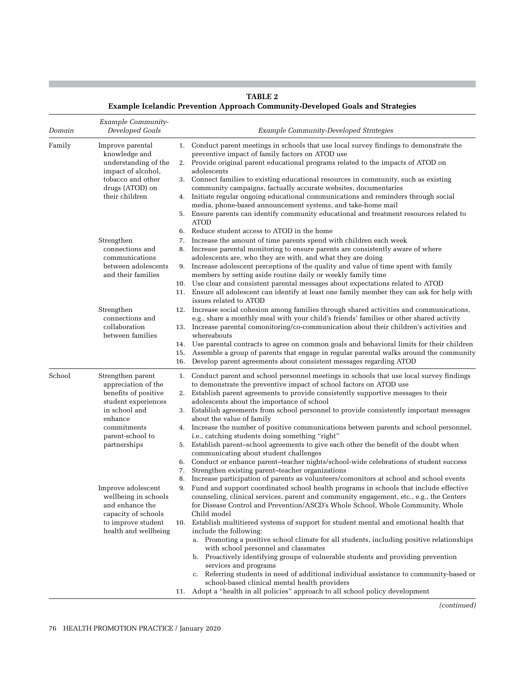| Domain | Example Community-<br>Developed Goals                                                                                                                                                                                                                                                                        |                                               | Example Community-Developed Strategies                                                                                                                                                                                                                                                                                                                                                                                                                                                                                                                                                                                                                                                                                                                                                                                                                                                                                                                                                                                                                                                                                                                                                                                                                                                                                                                                                                                                                                                                                                                                         |
|--------|--------------------------------------------------------------------------------------------------------------------------------------------------------------------------------------------------------------------------------------------------------------------------------------------------------------|-----------------------------------------------|--------------------------------------------------------------------------------------------------------------------------------------------------------------------------------------------------------------------------------------------------------------------------------------------------------------------------------------------------------------------------------------------------------------------------------------------------------------------------------------------------------------------------------------------------------------------------------------------------------------------------------------------------------------------------------------------------------------------------------------------------------------------------------------------------------------------------------------------------------------------------------------------------------------------------------------------------------------------------------------------------------------------------------------------------------------------------------------------------------------------------------------------------------------------------------------------------------------------------------------------------------------------------------------------------------------------------------------------------------------------------------------------------------------------------------------------------------------------------------------------------------------------------------------------------------------------------------|
| Family | Improve parental<br>knowledge and<br>understanding of the<br>impact of alcohol,<br>tobacco and other<br>drugs (ATOD) on<br>their children                                                                                                                                                                    | 3.<br>4.<br>5.                                | 1. Conduct parent meetings in schools that use local survey findings to demonstrate the<br>preventive impact of family factors on ATOD use<br>2. Provide original parent educational programs related to the impacts of ATOD on<br>adolescents<br>Connect families to existing educational resources in community, such as existing<br>community campaigns, factually accurate websites, documentaries<br>Initiate regular ongoing educational communications and reminders through social<br>media, phone-based announcement systems, and take-home mail<br>Ensure parents can identify community educational and treatment resources related to<br>ATOD                                                                                                                                                                                                                                                                                                                                                                                                                                                                                                                                                                                                                                                                                                                                                                                                                                                                                                                      |
|        | Strengthen<br>connections and<br>communications<br>between adolescents<br>and their families                                                                                                                                                                                                                 | 6.<br>7.<br>8.<br>9.<br>11.                   | Reduce student access to ATOD in the home<br>Increase the amount of time parents spend with children each week<br>Increase parental monitoring to ensure parents are consistently aware of where<br>adolescents are, who they are with, and what they are doing<br>Increase adolescent perceptions of the quality and value of time spent with family<br>members by setting aside routine daily or weekly family time<br>10. Use clear and consistent parental messages about expectations related to ATOD<br>Ensure all adolescent can identify at least one family member they can ask for help with<br>issues related to ATOD                                                                                                                                                                                                                                                                                                                                                                                                                                                                                                                                                                                                                                                                                                                                                                                                                                                                                                                                               |
|        | Strengthen<br>connections and<br>collaboration<br>between families                                                                                                                                                                                                                                           | 12.<br>14.<br>15.<br>16.                      | Increase social cohesion among families through shared activities and communications,<br>e.g., share a monthly meal with your child's friends' families or other shared activity<br>13. Increase parental comonitoring/co-communication about their children's activities and<br>whereabouts<br>Use parental contracts to agree on common goals and behavioral limits for their children<br>Assemble a group of parents that engage in regular parental walks around the community<br>Develop parent agreements about consistent messages regarding ATOD                                                                                                                                                                                                                                                                                                                                                                                                                                                                                                                                                                                                                                                                                                                                                                                                                                                                                                                                                                                                                       |
| School | Strengthen parent<br>appreciation of the<br>benefits of positive<br>student experiences<br>in school and<br>enhance<br>commitments<br>parent-school to<br>partnerships<br>Improve adolescent<br>wellbeing in schools<br>and enhance the<br>capacity of schools<br>to improve student<br>health and wellbeing | 1.<br>4.<br>5.<br>6.<br>7.<br>8.<br>9.<br>10. | Conduct parent and school personnel meetings in schools that use local survey findings<br>to demonstrate the preventive impact of school factors on ATOD use<br>2. Establish parent agreements to provide consistently supportive messages to their<br>adolescents about the importance of school<br>3. Establish agreements from school personnel to provide consistently important messages<br>about the value of family<br>Increase the number of positive communications between parents and school personnel,<br>i.e., catching students doing something "right"<br>Establish parent-school agreements to give each other the benefit of the doubt when<br>communicating about student challenges<br>Conduct or enhance parent-teacher nights/school-wide celebrations of student success<br>Strengthen existing parent-teacher organizations<br>Increase participation of parents as volunteers/comonitors at school and school events<br>Fund and support coordinated school health programs in schools that include effective<br>counseling, clinical services, parent and community engagement, etc., e.g., the Centers<br>for Disease Control and Prevention/ASCD's Whole School, Whole Community, Whole<br>Child model<br>Establish multitiered systems of support for student mental and emotional health that<br>include the following:<br>a. Promoting a positive school climate for all students, including positive relationships<br>with school personnel and classmates<br>b. Proactively identifying groups of vulnerable students and providing prevention |
|        |                                                                                                                                                                                                                                                                                                              |                                               | services and programs<br>c. Referring students in need of additional individual assistance to community-based or<br>school-based clinical mental health providers<br>11. Adopt a "health in all policies" approach to all school policy development                                                                                                                                                                                                                                                                                                                                                                                                                                                                                                                                                                                                                                                                                                                                                                                                                                                                                                                                                                                                                                                                                                                                                                                                                                                                                                                            |

**Table 2 Example Icelandic Prevention Approach Community-Developed Goals and Strategies**

 *(continued)*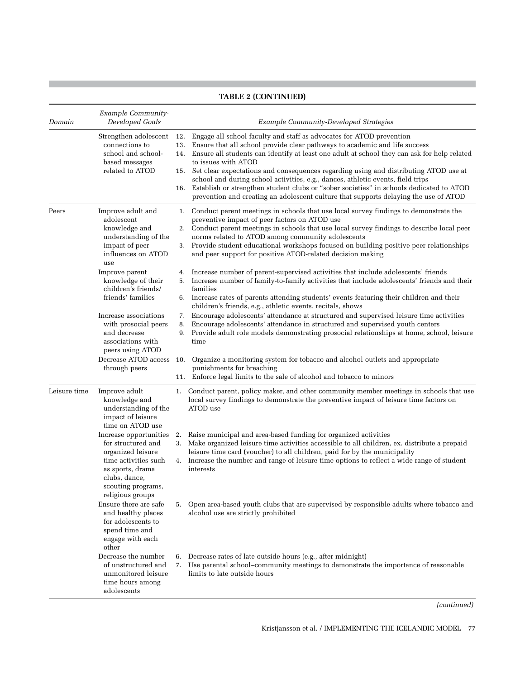|              |                                                                                                                                                                          |                | <b>TABLE 2 (CONTINUED)</b>                                                                                                                                                                                                                                                                                                                                                                                                                                                                                                                                                                                                                         |
|--------------|--------------------------------------------------------------------------------------------------------------------------------------------------------------------------|----------------|----------------------------------------------------------------------------------------------------------------------------------------------------------------------------------------------------------------------------------------------------------------------------------------------------------------------------------------------------------------------------------------------------------------------------------------------------------------------------------------------------------------------------------------------------------------------------------------------------------------------------------------------------|
| Domain       | Example Community-<br>Developed Goals                                                                                                                                    |                | Example Community-Developed Strategies                                                                                                                                                                                                                                                                                                                                                                                                                                                                                                                                                                                                             |
|              | Strengthen adolescent<br>connections to<br>school and school-<br>based messages<br>related to ATOD                                                                       | 12.<br>13.     | Engage all school faculty and staff as advocates for ATOD prevention<br>Ensure that all school provide clear pathways to academic and life success<br>14. Ensure all students can identify at least one adult at school they can ask for help related<br>to issues with ATOD<br>15. Set clear expectations and consequences regarding using and distributing ATOD use at<br>school and during school activities, e.g., dances, athletic events, field trips<br>16. Establish or strengthen student clubs or "sober societies" in schools dedicated to ATOD<br>prevention and creating an adolescent culture that supports delaying the use of ATOD |
| Peers        | Improve adult and<br>adolescent<br>knowledge and<br>understanding of the<br>impact of peer<br>influences on ATOD<br>use                                                  | 3.             | 1. Conduct parent meetings in schools that use local survey findings to demonstrate the<br>preventive impact of peer factors on ATOD use<br>2. Conduct parent meetings in schools that use local survey findings to describe local peer<br>norms related to ATOD among community adolescents<br>Provide student educational workshops focused on building positive peer relationships<br>and peer support for positive ATOD-related decision making                                                                                                                                                                                                |
|              | Improve parent<br>knowledge of their<br>children's friends/<br>friends' families                                                                                         | 4.<br>5.       | Increase number of parent-supervised activities that include adolescents' friends<br>Increase number of family-to-family activities that include adolescents' friends and their<br>families<br>6. Increase rates of parents attending students' events featuring their children and their<br>children's friends, e.g., athletic events, recitals, shows                                                                                                                                                                                                                                                                                            |
|              | Increase associations<br>with prosocial peers<br>and decrease<br>associations with<br>peers using ATOD                                                                   | 7.<br>8.<br>9. | Encourage adolescents' attendance at structured and supervised leisure time activities<br>Encourage adolescents' attendance in structured and supervised youth centers<br>Provide adult role models demonstrating prosocial relationships at home, school, leisure<br>time                                                                                                                                                                                                                                                                                                                                                                         |
|              | Decrease ATOD access<br>through peers                                                                                                                                    | 10.            | Organize a monitoring system for tobacco and alcohol outlets and appropriate<br>punishments for breaching<br>11. Enforce legal limits to the sale of alcohol and tobacco to minors                                                                                                                                                                                                                                                                                                                                                                                                                                                                 |
| Leisure time | Improve adult<br>knowledge and<br>understanding of the<br>impact of leisure<br>time on ATOD use                                                                          | 1.             | Conduct parent, policy maker, and other community member meetings in schools that use<br>local survey findings to demonstrate the preventive impact of leisure time factors on<br>ATOD use                                                                                                                                                                                                                                                                                                                                                                                                                                                         |
|              | Increase opportunities<br>for structured and<br>organized leisure<br>time activities such<br>as sports, drama<br>clubs, dance,<br>scouting programs,<br>religious groups | 2.<br>3.       | Raise municipal and area-based funding for organized activities<br>Make organized leisure time activities accessible to all children, ex. distribute a prepaid<br>leisure time card (voucher) to all children, paid for by the municipality<br>4. Increase the number and range of leisure time options to reflect a wide range of student<br>interests                                                                                                                                                                                                                                                                                            |
|              | Ensure there are safe<br>and healthy places<br>for adolescents to<br>spend time and<br>engage with each<br>other                                                         | 5.             | Open area-based youth clubs that are supervised by responsible adults where tobacco and<br>alcohol use are strictly prohibited                                                                                                                                                                                                                                                                                                                                                                                                                                                                                                                     |
|              | Decrease the number<br>of unstructured and<br>unmonitored leisure<br>time hours among<br>adolescents                                                                     | 6.<br>7.       | Decrease rates of late outside hours (e.g., after midnight)<br>Use parental school-community meetings to demonstrate the importance of reasonable<br>limits to late outside hours                                                                                                                                                                                                                                                                                                                                                                                                                                                                  |

П

 *(continued)*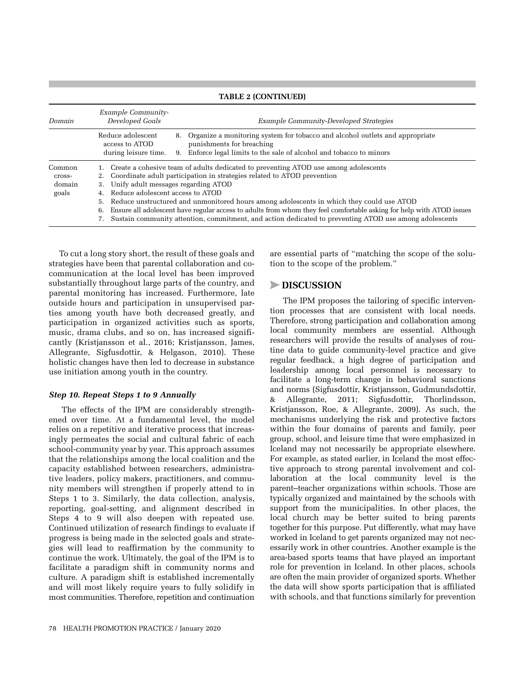|                                     | <b>TABLE 2 (CONTINUED)</b>                                                                                                                                                                                                                                                                                                                                                                                                                                                                                                                                                                |
|-------------------------------------|-------------------------------------------------------------------------------------------------------------------------------------------------------------------------------------------------------------------------------------------------------------------------------------------------------------------------------------------------------------------------------------------------------------------------------------------------------------------------------------------------------------------------------------------------------------------------------------------|
| Domain                              | Example Community-<br>Developed Goals<br>Example Community-Developed Strategies                                                                                                                                                                                                                                                                                                                                                                                                                                                                                                           |
|                                     | Reduce adolescent<br>8. Organize a monitoring system for tobacco and alcohol outlets and appropriate<br>punishments for breaching<br>access to ATOD<br>9. Enforce legal limits to the sale of alcohol and tobacco to minors<br>during leisure time.                                                                                                                                                                                                                                                                                                                                       |
| Common<br>cross-<br>domain<br>goals | Create a cohesive team of adults dedicated to preventing ATOD use among adolescents<br>Coordinate adult participation in strategies related to ATOD prevention<br>Unify adult messages regarding ATOD<br>3.<br>Reduce adolescent access to ATOD<br>Reduce unstructured and unmonitored hours among adolescents in which they could use ATOD<br>5.<br>Ensure all adolescent have regular access to adults from whom they feel comfortable asking for help with ATOD issues<br>6.<br>Sustain community attention, commitment, and action dedicated to preventing ATOD use among adolescents |

To cut a long story short, the result of these goals and strategies have been that parental collaboration and cocommunication at the local level has been improved substantially throughout large parts of the country, and parental monitoring has increased. Furthermore, late outside hours and participation in unsupervised parties among youth have both decreased greatly, and

participation in organized activities such as sports, music, drama clubs, and so on, has increased significantly (Kristjansson et al., 2016; Kristjansson, James, Allegrante, Sigfusdottir, & Helgason, 2010). These holistic changes have then led to decrease in substance use initiation among youth in the country.

#### *Step 10. Repeat Steps 1 to 9 Annually*

The effects of the IPM are considerably strengthened over time. At a fundamental level, the model relies on a repetitive and iterative process that increasingly permeates the social and cultural fabric of each school-community year by year. This approach assumes that the relationships among the local coalition and the capacity established between researchers, administrative leaders, policy makers, practitioners, and community members will strengthen if properly attend to in Steps 1 to 3. Similarly, the data collection, analysis, reporting, goal-setting, and alignment described in Steps 4 to 9 will also deepen with repeated use. Continued utilization of research findings to evaluate if progress is being made in the selected goals and strategies will lead to reaffirmation by the community to continue the work. Ultimately, the goal of the IPM is to facilitate a paradigm shift in community norms and culture. A paradigm shift is established incrementally and will most likely require years to fully solidify in most communities. Therefore, repetition and continuation

are essential parts of "matching the scope of the solution to the scope of the problem."

# >**Discussion**

The IPM proposes the tailoring of specific intervention processes that are consistent with local needs. Therefore, strong participation and collaboration among local community members are essential. Although researchers will provide the results of analyses of routine data to guide community-level practice and give regular feedback, a high degree of participation and leadership among local personnel is necessary to facilitate a long-term change in behavioral sanctions and norms (Sigfusdottir, Kristjansson, Gudmundsdottir, & Allegrante, 2011; Sigfusdottir, Thorlindsson, Kristjansson, Roe, & Allegrante, 2009). As such, the mechanisms underlying the risk and protective factors within the four domains of parents and family, peer group, school, and leisure time that were emphasized in Iceland may not necessarily be appropriate elsewhere. For example, as stated earlier, in Iceland the most effective approach to strong parental involvement and collaboration at the local community level is the parent–teacher organizations within schools. Those are typically organized and maintained by the schools with support from the municipalities. In other places, the local church may be better suited to bring parents together for this purpose. Put differently, what may have worked in Iceland to get parents organized may not necessarily work in other countries. Another example is the area-based sports teams that have played an important role for prevention in Iceland. In other places, schools are often the main provider of organized sports. Whether the data will show sports participation that is affiliated with schools, and that functions similarly for prevention